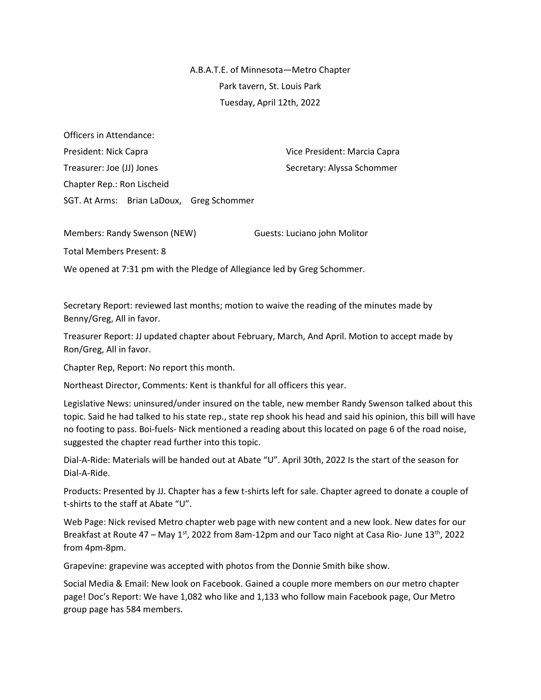A.B.A.T.E. of Minnesota—Metro Chapter Park tavern, St. Louis Park Tuesday, April 12th, 2022

Officers in Attendance: President: Nick Capra Vice President: Marcia Capra Treasurer: Joe (JJ) Jones Secretary: Alyssa Schommer Chapter Rep.: Ron Lischeid SGT. At Arms: Brian LaDoux, Greg Schommer

Members: Randy Swenson (NEW) Guests: Luciano john Molitor

Total Members Present: 8

We opened at 7:31 pm with the Pledge of Allegiance led by Greg Schommer.

Secretary Report: reviewed last months; motion to waive the reading of the minutes made by Benny/Greg, All in favor.

Treasurer Report: JJ updated chapter about February, March, And April. Motion to accept made by Ron/Greg, All in favor.

Chapter Rep, Report: No report this month.

Northeast Director, Comments: Kent is thankful for all officers this year.

Legislative News: uninsured/under insured on the table, new member Randy Swenson talked about this topic. Said he had talked to his state rep., state rep shook his head and said his opinion, this bill will have no footing to pass. Boi-fuels- Nick mentioned a reading about this located on page 6 of the road noise, suggested the chapter read further into this topic.

Dial-A-Ride: Materials will be handed out at Abate "U". April 30th, 2022 Is the start of the season for Dial-A-Ride.

Products: Presented by JJ. Chapter has a few t-shirts left for sale. Chapter agreed to donate a couple of t-shirts to the staff at Abate "U".

Web Page: Nick revised Metro chapter web page with new content and a new look. New dates for our Breakfast at Route  $47 -$  May  $1<sup>st</sup>$ , 2022 from 8am-12pm and our Taco night at Casa Rio- June  $13<sup>th</sup>$ , 2022 from 4pm-8pm.

Grapevine: grapevine was accepted with photos from the Donnie Smith bike show.

Social Media & Email: New look on Facebook. Gained a couple more members on our metro chapter page! Doc's Report: We have 1,082 who like and 1,133 who follow main Facebook page, Our Metro group page has 584 members.